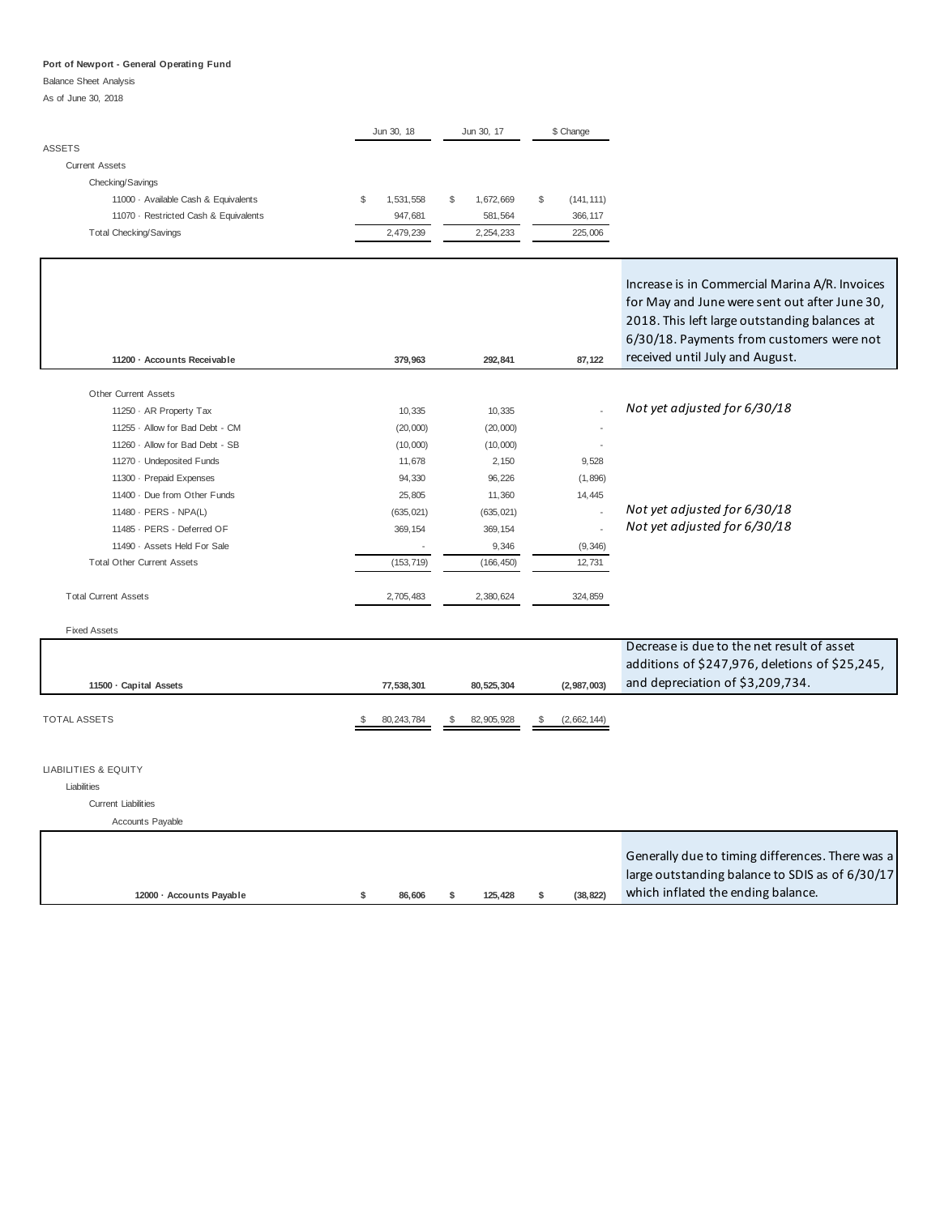#### Balance Sheet Analysis

As of June 30, 2018

|                                       | Jun 30, 18      | Jun 30, 17      | \$ Change        |
|---------------------------------------|-----------------|-----------------|------------------|
| <b>ASSETS</b>                         |                 |                 |                  |
| Current Assets                        |                 |                 |                  |
| Checking/Savings                      |                 |                 |                  |
| 11000 Available Cash & Equivalents    | \$<br>1,531,558 | \$<br>1.672.669 | \$<br>(141, 111) |
| 11070 · Restricted Cash & Equivalents | 947.681         | 581,564         | 366, 117         |
| <b>Total Checking/Savings</b>         | 2,479,239       | 2,254,233       | 225,006          |
|                                       |                 |                 |                  |

**11200 · Accounts Receivable 292,841 379,963 87,122** 

Increase is in Commercial Marina A/R. Invoices for May and June were sent out after June 30, 2018. This left large outstanding balances at 6/30/18. Payments from customers were not received until July and August.

Fixed Assets

|                      |              |              |             | Decrease is due to the net result of asset<br>additions of \$247,976, deletions of \$25,245, |
|----------------------|--------------|--------------|-------------|----------------------------------------------------------------------------------------------|
| 11500 Capital Assets | 77.538.301   | 80.525.304   | (2,987,003) | and depreciation of \$3,209,734.                                                             |
| <b>TOTAL ASSETS</b>  | 80, 243, 784 | 82, 905, 928 | (2,662,144) |                                                                                              |

#### LIABILITIES & EQUITY

Liabilities

#### Current Liabilities

Accounts Payable

|                          |        |         |          | Generally due to timing differences. There was a |
|--------------------------|--------|---------|----------|--------------------------------------------------|
|                          |        |         |          | large outstanding balance to SDIS as of 6/30/17  |
| 12000 - Accounts Payable | 86.606 | 125.428 | (38.822) | which inflated the ending balance.               |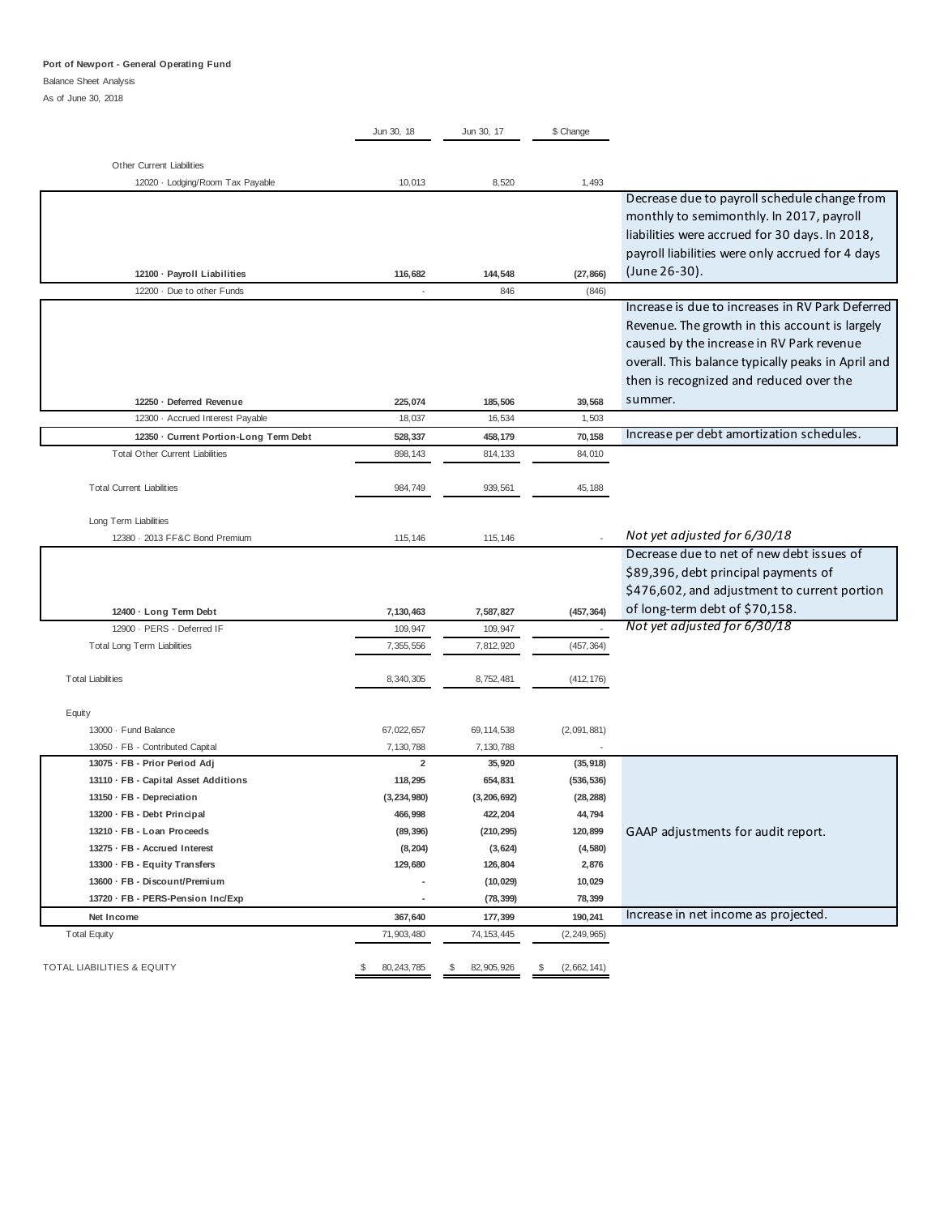#### Balance Sheet Analysis

As of June 30, 2018

|                                                               | Jun 30, 18               | Jun 30, 17         | \$ Change         |                                                    |
|---------------------------------------------------------------|--------------------------|--------------------|-------------------|----------------------------------------------------|
|                                                               |                          |                    |                   |                                                    |
| Other Current Liabilities<br>12020 · Lodging/Room Tax Payable | 10,013                   | 8,520              | 1,493             |                                                    |
|                                                               |                          |                    |                   | Decrease due to payroll schedule change from       |
|                                                               |                          |                    |                   | monthly to semimonthly. In 2017, payroll           |
|                                                               |                          |                    |                   | liabilities were accrued for 30 days. In 2018,     |
|                                                               |                          |                    |                   | payroll liabilities were only accrued for 4 days   |
| 12100 · Payroll Liabilities                                   | 116,682                  | 144,548            | (27, 866)         | (June 26-30).                                      |
| 12200 · Due to other Funds                                    | $\overline{\phantom{a}}$ | 846                | (846)             |                                                    |
|                                                               |                          |                    |                   | Increase is due to increases in RV Park Deferred   |
|                                                               |                          |                    |                   | Revenue. The growth in this account is largely     |
|                                                               |                          |                    |                   | caused by the increase in RV Park revenue          |
|                                                               |                          |                    |                   | overall. This balance typically peaks in April and |
|                                                               |                          |                    |                   | then is recognized and reduced over the            |
| 12250 · Deferred Revenue                                      | 225,074                  | 185,506            | 39,568            | summer.                                            |
| 12300 · Accrued Interest Payable                              | 18,037                   | 16,534             | 1,503             |                                                    |
| 12350 · Current Portion-Long Term Debt                        | 528,337                  | 458,179            | 70,158            | Increase per debt amortization schedules.          |
| <b>Total Other Current Liabilities</b>                        | 898, 143                 | 814, 133           | 84,010            |                                                    |
|                                                               |                          |                    |                   |                                                    |
| <b>Total Current Liabilities</b>                              | 984,749                  | 939,561            | 45,188            |                                                    |
|                                                               |                          |                    |                   |                                                    |
| Long Term Liabilities                                         |                          |                    |                   |                                                    |
| 12380 · 2013 FF&C Bond Premium                                | 115, 146                 | 115, 146           |                   | Not yet adjusted for 6/30/18                       |
|                                                               |                          |                    |                   | Decrease due to net of new debt issues of          |
|                                                               |                          |                    |                   | \$89,396, debt principal payments of               |
|                                                               |                          |                    |                   | \$476,602, and adjustment to current portion       |
| 12400 · Long Term Debt                                        | 7,130,463                | 7,587,827          | (457, 364)        | of long-term debt of \$70,158.                     |
| 12900 - PERS - Deferred IF                                    | 109,947                  | 109,947            |                   | Not yet adjusted for 6/30/18                       |
| <b>Total Long Term Liabilities</b>                            | 7,355,556                | 7,812,920          | (457, 364)        |                                                    |
|                                                               |                          |                    |                   |                                                    |
| <b>Total Liabilities</b>                                      | 8,340,305                | 8,752,481          | (412, 176)        |                                                    |
|                                                               |                          |                    |                   |                                                    |
| Equity<br>13000 · Fund Balance                                | 67,022,657               | 69, 114, 538       | (2,091,881)       |                                                    |
| 13050 · FB - Contributed Capital                              | 7,130,788                | 7,130,788          |                   |                                                    |
| 13075 · FB - Prior Period Adj                                 | $\overline{\mathbf{2}}$  | 35,920             | (35, 918)         |                                                    |
| 13110 · FB - Capital Asset Additions                          | 118,295                  | 654,831            | (536, 536)        |                                                    |
| 13150 · FB - Depreciation                                     | (3, 234, 980)            | (3, 206, 692)      | (28, 288)         |                                                    |
| 13200 · FB - Debt Principal                                   | 466,998                  | 422,204            | 44,794            |                                                    |
| 13210 · FB - Loan Proceeds                                    | (89, 396)                | (210, 295)         | 120,899           | GAAP adjustments for audit report.                 |
| 13275 · FB - Accrued Interest                                 | (8, 204)                 | (3,624)            | (4, 580)          |                                                    |
| 13300 · FB - Equity Transfers                                 | 129,680                  | 126,804            | 2,876             |                                                    |
| 13600 · FB - Discount/Premium                                 |                          | (10, 029)          | 10,029            |                                                    |
| 13720 · FB - PERS-Pension Inc/Exp                             | ٠                        | (78, 399)          | 78,399            |                                                    |
| Net Income                                                    | 367,640                  | 177,399            | 190,241           | Increase in net income as projected.               |
| <b>Total Equity</b>                                           | 71,903,480               | 74, 153, 445       | (2, 249, 965)     |                                                    |
|                                                               |                          |                    |                   |                                                    |
| <b>TOTAL LIABILITIES &amp; EQUITY</b>                         | \$<br>80, 243, 785       | \$<br>82, 905, 926 | \$<br>(2,662,141) |                                                    |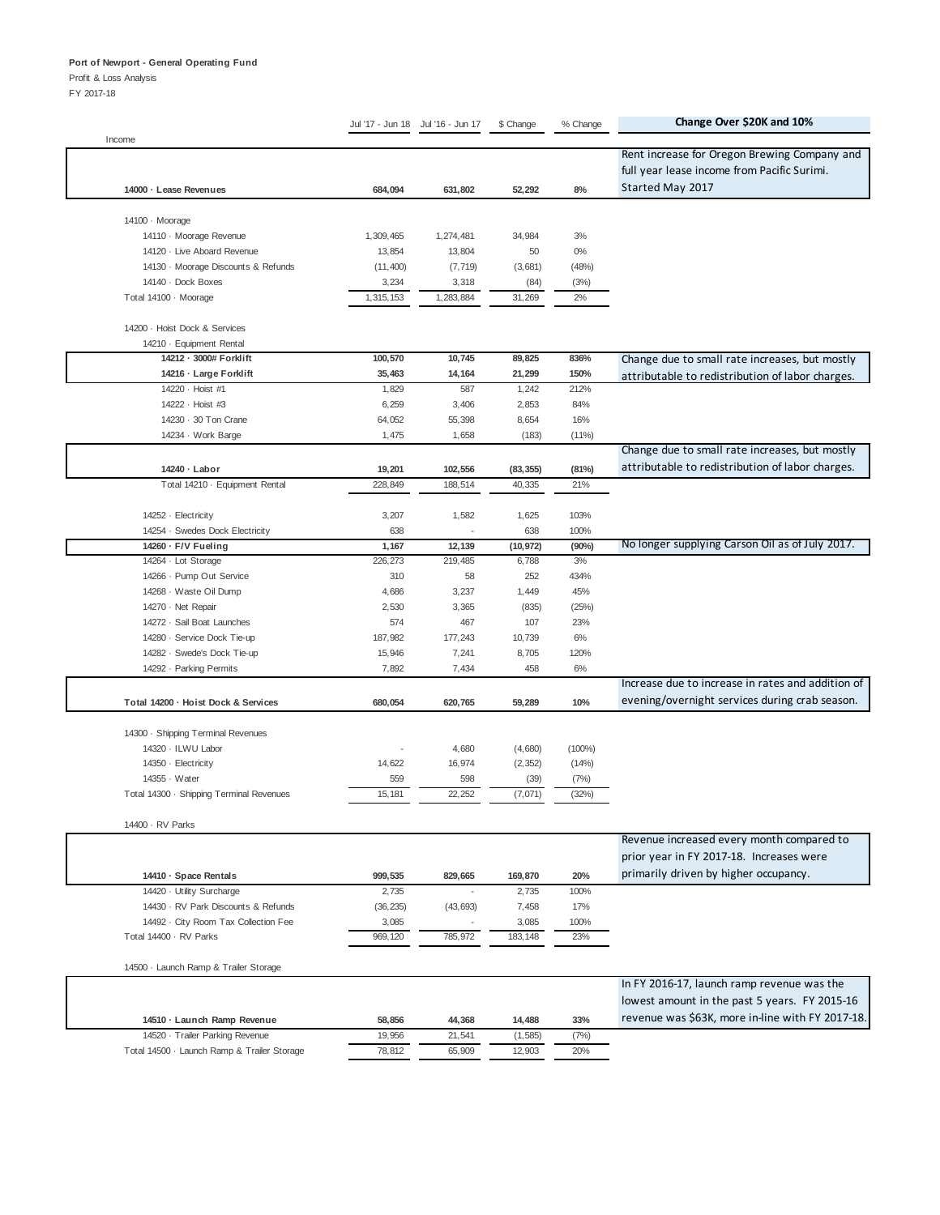Profit & Loss Analysis

|                                                                    | Jul '17 - Jun 18    | Jul '16 - Jun 17   | \$ Change     | % Change       | Change Over \$20K and 10%                         |
|--------------------------------------------------------------------|---------------------|--------------------|---------------|----------------|---------------------------------------------------|
| Income                                                             |                     |                    |               |                | Rent increase for Oregon Brewing Company and      |
|                                                                    |                     |                    |               |                |                                                   |
|                                                                    |                     |                    |               |                | full year lease income from Pacific Surimi.       |
| 14000 · Lease Revenues                                             | 684,094             | 631,802            | 52,292        | 8%             | Started May 2017                                  |
|                                                                    |                     |                    |               |                |                                                   |
| 14100 · Moorage                                                    |                     |                    |               |                |                                                   |
| 14110 · Moorage Revenue                                            | 1,309,465           | 1,274,481          | 34,984        | 3%             |                                                   |
| 14120 · Live Aboard Revenue<br>14130 · Moorage Discounts & Refunds | 13,854<br>(11, 400) | 13,804<br>(7, 719) | 50<br>(3,681) | $0\%$<br>(48%) |                                                   |
| 14140 · Dock Boxes                                                 | 3,234               | 3,318              | (84)          | (3%)           |                                                   |
| Total 14100 · Moorage                                              | 1,315,153           | 1,283,884          | 31,269        | 2%             |                                                   |
|                                                                    |                     |                    |               |                |                                                   |
| 14200 · Hoist Dock & Services                                      |                     |                    |               |                |                                                   |
| 14210 · Equipment Rental                                           |                     |                    |               |                |                                                   |
| 14212 - 3000# Forklift                                             | 100,570             | 10,745             | 89,825        | 836%           | Change due to small rate increases, but mostly    |
| 14216 · Large Forklift                                             | 35,463              | 14,164             | 21,299        | 150%           | attributable to redistribution of labor charges.  |
| 14220 · Hoist #1                                                   | 1,829               | 587                | 1,242         | 212%           |                                                   |
| 14222 · Hoist #3                                                   | 6,259               | 3,406              | 2,853         | 84%            |                                                   |
| 14230 · 30 Ton Crane                                               | 64,052              | 55,398             | 8,654         | 16%            |                                                   |
| 14234 · Work Barge                                                 | 1,475               | 1,658              | (183)         | (11%)          |                                                   |
|                                                                    |                     |                    |               |                | Change due to small rate increases, but mostly    |
| 14240 · Labor                                                      | 19,201              | 102,556            | (83, 355)     | (81%)          | attributable to redistribution of labor charges.  |
| Total 14210 - Equipment Rental                                     | 228,849             | 188,514            | 40,335        | 21%            |                                                   |
|                                                                    |                     |                    |               |                |                                                   |
| 14252 · Electricity                                                | 3,207               | 1,582              | 1,625         | 103%           |                                                   |
| 14254 · Swedes Dock Electricity                                    | 638                 |                    | 638           | 100%           |                                                   |
| 14260 · F/V Fueling                                                | 1,167               | 12,139             | (10, 972)     | (90%)          | No longer supplying Carson Oil as of July 2017.   |
| 14264 · Lot Storage                                                | 226, 273            | 219,485            | 6,788         | 3%             |                                                   |
| 14266 - Pump Out Service                                           | 310                 | 58                 | 252           | 434%           |                                                   |
| 14268 · Waste Oil Dump                                             | 4,686               | 3,237              | 1,449         | 45%            |                                                   |
| 14270 · Net Repair                                                 | 2,530               | 3,365              | (835)         | (25%)          |                                                   |
| 14272 · Sail Boat Launches                                         | 574                 | 467                | 107           | 23%            |                                                   |
| 14280 · Service Dock Tie-up                                        | 187,982             | 177,243            | 10,739        | 6%             |                                                   |
| 14282 · Swede's Dock Tie-up                                        | 15,946              | 7,241              | 8,705         | 120%           |                                                   |
| 14292 · Parking Permits                                            | 7,892               | 7,434              | 458           | 6%             |                                                   |
|                                                                    |                     |                    |               |                | Increase due to increase in rates and addition of |
| Total 14200 · Hoist Dock & Services                                | 680,054             | 620,765            | 59,289        | 10%            | evening/overnight services during crab season.    |
|                                                                    |                     |                    |               |                |                                                   |
| 14300 · Shipping Terminal Revenues<br>14320 · ILWU Labor           |                     | 4,680              | (4,680)       | $(100\%)$      |                                                   |
| 14350 - Electricity                                                | 14,622              | 16,974             | (2, 352)      | (14%)          |                                                   |
| 14355 · Water                                                      | 559                 | 598                | (39)          | (7%)           |                                                   |
| Total 14300 · Shipping Terminal Revenues                           | 15, 181             | 22,252             | (7,071)       | (32%)          |                                                   |
|                                                                    |                     |                    |               |                |                                                   |
| 14400 · RV Parks                                                   |                     |                    |               |                |                                                   |
|                                                                    |                     |                    |               |                | Revenue increased every month compared to         |
|                                                                    |                     |                    |               |                | prior year in FY 2017-18. Increases were          |
| 14410 · Space Rentals                                              | 999,535             | 829,665            | 169,870       | 20%            | primarily driven by higher occupancy.             |
| 14420 - Utility Surcharge                                          | 2,735               |                    | 2,735         | 100%           |                                                   |
| 14430 · RV Park Discounts & Refunds                                | (36, 235)           | (43, 693)          | 7,458         | 17%            |                                                   |
| 14492 · City Room Tax Collection Fee                               | 3,085               |                    | 3,085         | 100%           |                                                   |
| Total 14400 · RV Parks                                             | 969,120             | 785,972            | 183, 148      | 23%            |                                                   |
|                                                                    |                     |                    |               |                |                                                   |
| 14500 · Launch Ramp & Trailer Storage                              |                     |                    |               |                |                                                   |
|                                                                    |                     |                    |               |                | In FY 2016-17, launch ramp revenue was the        |
|                                                                    |                     |                    |               |                | lowest amount in the past 5 years. FY 2015-16     |
| 14510 · Launch Ramp Revenue                                        | 58,856              | 44,368             | 14,488        | 33%            | revenue was \$63K, more in-line with FY 2017-18.  |
| 14520 · Trailer Parking Revenue                                    | 19,956              | 21,541             | (1, 585)      | (7%)           |                                                   |
| Total 14500 - Launch Ramp & Trailer Storage                        | 78,812              | 65,909             | 12,903        | 20%            |                                                   |
|                                                                    |                     |                    |               |                |                                                   |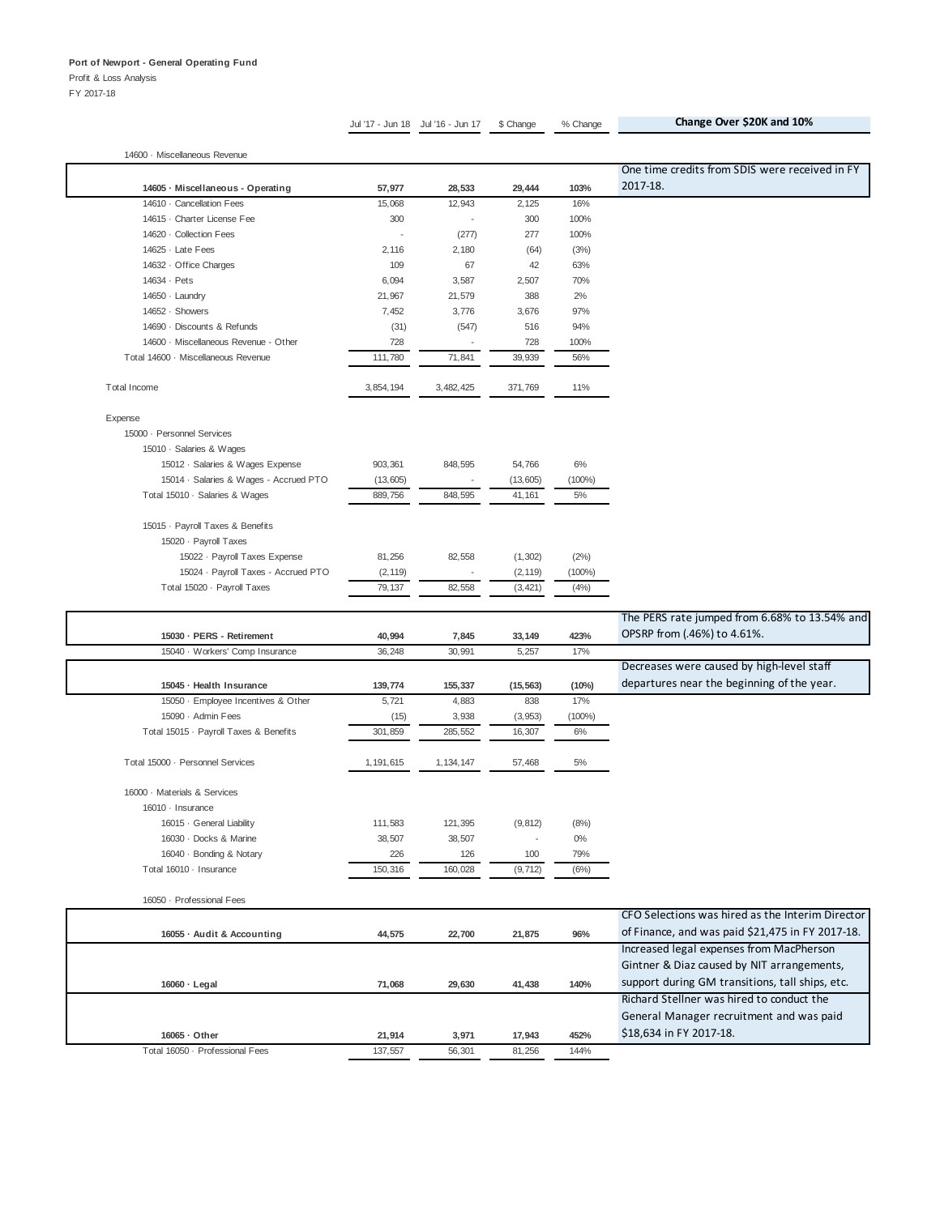Profit & Loss Analysis FY 2017-18

Jul '17 - Jun 18 Jul '16 - Jun 17 \$ Change % Change **Change Over \$20K and 10%**

14600 · Miscellaneous Revenue **14605 · Miscellaneous - Operating 57,977 28,533 29,444 103%** One time credits from SDIS were received in FY 2017-18. 14610 · Cancellation Fees 15,068 12,943 2,125 16% 14615 · Charter License Fee 300 300 · 300 300 · 300 300 300 400% 14620 · Collection Fees (277) 277 100% 14625 · Late Fees 2,116 2,180 (64) (3%) 14632 · Office Charges 63% 109 109 67 42 63% 14634 · Pets 3,587 2,507 70% 14650 · Laundry 21,967 21,967 21,579 388 2% 14652 · Showers 3,676 3,676 3,676 97% 14690 · Discounts & Refunds (31) (547) 516 94% 14600 · Miscellaneous Revenue - Other 728 - 728 100% Total 14600 · Miscellaneous Revenue 111,780 71,841 39,939 56% Total Income 2012 2013 2020 3,454,194 3,482,425 371,769 3,462,425 11% Expense 15000 · Personnel Services 15010 · Salaries & Wages 15012 · Salaries & Wages Expense 903,361 848,595 54,766 6% 15014 · Salaries & Wages - Accrued PTO (13,605) - (13,605) (100%) Total 15010 · Salaries & Wages 8 889,756 848,595 41,161 5% 15015 · Payroll Taxes & Benefits 15020 · Payroll Taxes 15022 · Payroll Taxes Expense 81,256 82,558 (1,302) (2%) 15024 · Payroll Taxes - Accrued PTO (2,119) - (2,119) (100%) Total 15020 · Payroll Taxes 79,137 82,558 (3,421) (4%) **15030 · PERS - Retirement 40,994 7,845 33,149 423%** The PERS rate jumped from 6.68% to 13.54% and OPSRP from (.46%) to 4.61%. 15040 · Workers' Comp Insurance 36,248 30,991 5,257 17% **15045 · Health Insurance 139,774 155,337 (15,563) (10%)** Decreases were caused by high-level staff departures near the beginning of the year. 15050 · Employee Incentives & Other 5,721 4,883 838 17% 15090 · Admin Fees 3,938 (3,953) (100%) Total 15015 · Payroll Taxes & Benefits 301,859 285,552 16,307 6% Total 15000 · Personnel Services 1,191,615 1,134,147 57,468 5% 16000 · Materials & Services 16010 · Insurance 16015 · General Liability 111,583 121,395 (9,812) (8%) 16030 · Docks & Marine 38,507 38,507 - 0% 16040 · Bonding & Notary 226 126 100 79% Total 16010 · Insurance 150,316 160,028 (9,712) (6%)

16050 · Professional Fees **16055 · Audit & Accounting 44,575 22,700 21,875 96%** CFO Selections was hired as the Interim Director of Finance, and was paid \$21,475 in FY 2017-18. **16060 · Legal 29,630 71,068 41,438 140%** Increased legal expenses from MacPherson Gintner & Diaz caused by NIT arrangements, support during GM transitions, tall ships, etc. **16065 · Other 3,971 21,914 17,943 452%** Richard Stellner was hired to conduct the General Manager recruitment and was paid \$18,634 in FY 2017-18. Total 16050 · Professional Fees 137,557 56,301 81,256 144%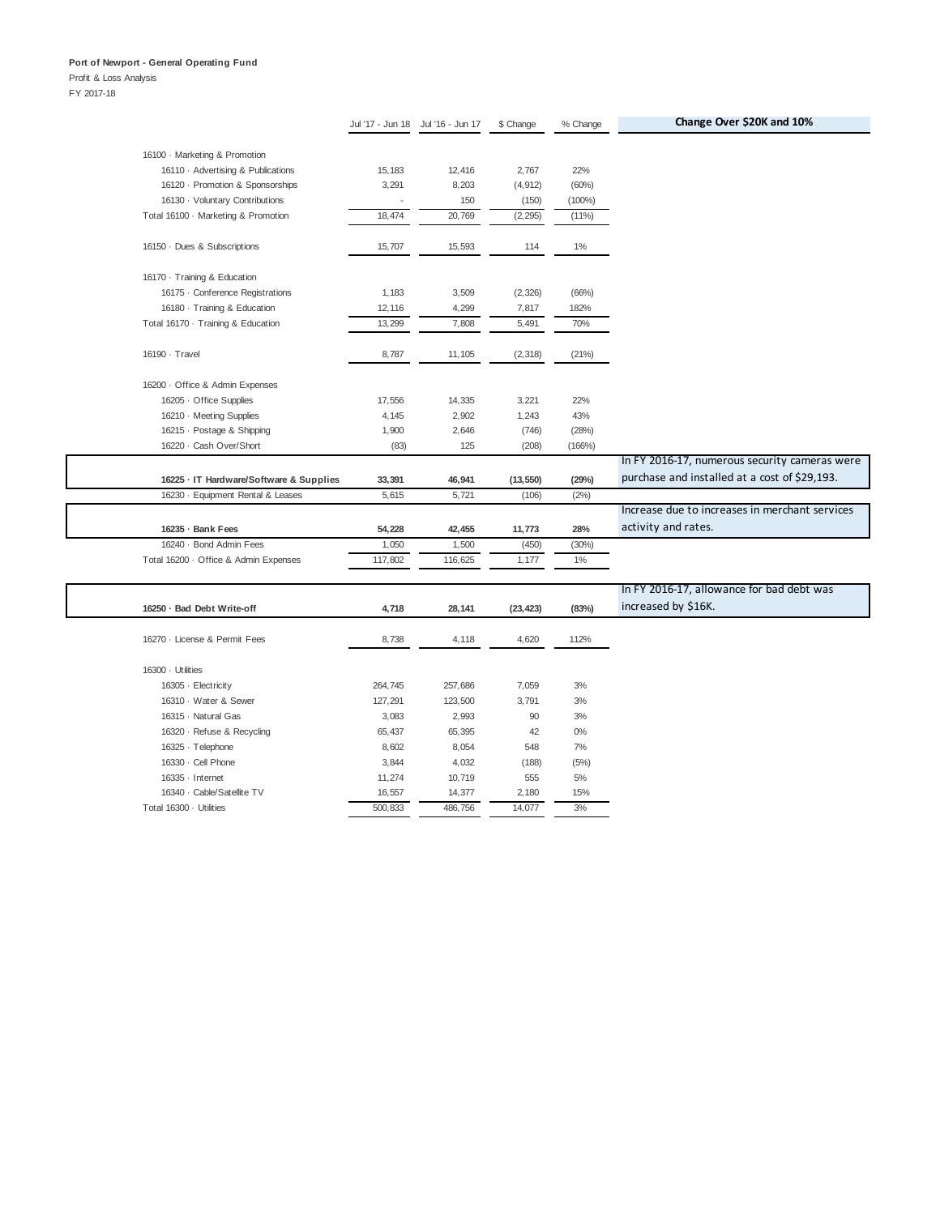## Profit & Loss Analysis

|                                         |         | Jul '17 - Jun 18 Jul '16 - Jun 17 | \$ Change | % Change  | Change Over \$20K and 10%                      |
|-----------------------------------------|---------|-----------------------------------|-----------|-----------|------------------------------------------------|
|                                         |         |                                   |           |           |                                                |
| 16100 · Marketing & Promotion           |         |                                   |           |           |                                                |
| 16110 Advertising & Publications        | 15, 183 | 12,416                            | 2,767     | 22%       |                                                |
| 16120 - Promotion & Sponsorships        | 3,291   | 8,203                             | (4, 912)  | (60%)     |                                                |
| 16130 · Voluntary Contributions         |         | 150                               | (150)     | $(100\%)$ |                                                |
| Total 16100 · Marketing & Promotion     | 18,474  | 20,769                            | (2, 295)  | (11%)     |                                                |
| 16150 Dues & Subscriptions              | 15,707  | 15,593                            | 114       | $1\%$     |                                                |
| 16170 · Training & Education            |         |                                   |           |           |                                                |
| 16175 · Conference Registrations        | 1,183   | 3,509                             | (2, 326)  | (66%)     |                                                |
| 16180 · Training & Education            | 12,116  | 4,299                             | 7,817     | 182%      |                                                |
| Total 16170 · Training & Education      | 13,299  | 7,808                             | 5,491     | 70%       |                                                |
| 16190 · Travel                          | 8,787   | 11,105                            | (2, 318)  | (21%)     |                                                |
| 16200 · Office & Admin Expenses         |         |                                   |           |           |                                                |
| 16205 Office Supplies                   | 17,556  | 14,335                            | 3,221     | 22%       |                                                |
| 16210 · Meeting Supplies                | 4,145   | 2,902                             | 1,243     | 43%       |                                                |
| 16215 - Postage & Shipping              | 1,900   | 2,646                             | (746)     | (28%)     |                                                |
| 16220 · Cash Over/Short                 | (83)    | 125                               | (208)     | (166%)    |                                                |
|                                         |         |                                   |           |           | In FY 2016-17, numerous security cameras were  |
| 16225 · IT Hardware/Software & Supplies | 33,391  | 46,941                            | (13, 550) | (29%)     | purchase and installed at a cost of \$29,193.  |
| 16230 - Equipment Rental & Leases       | 5,615   | 5,721                             | (106)     | (2%)      |                                                |
|                                         |         |                                   |           |           | Increase due to increases in merchant services |
| 16235 · Bank Fees                       | 54,228  | 42,455                            | 11,773    | 28%       | activity and rates.                            |
| 16240 · Bond Admin Fees                 | 1,050   | 1,500                             | (450)     | (30%)     |                                                |
| Total 16200 · Office & Admin Expenses   | 117,802 | 116,625                           | 1,177     | $1\%$     |                                                |
|                                         |         |                                   |           |           | In FY 2016-17, allowance for bad debt was      |
| 16250 · Bad Debt Write-off              | 4,718   | 28,141                            | (23, 423) | (83%)     | increased by \$16K.                            |
|                                         |         |                                   |           |           |                                                |
| 16270 - License & Permit Fees           | 8,738   | 4,118                             | 4,620     | 112%      |                                                |
| 16300 · Utilities                       |         |                                   |           |           |                                                |
| 16305 - Electricity                     | 264,745 | 257,686                           | 7,059     | 3%        |                                                |
| 16310 · Water & Sewer                   | 127,291 | 123,500                           | 3,791     | 3%        |                                                |
| 16315 · Natural Gas                     | 3,083   | 2,993                             | 90        | 3%        |                                                |
| 16320 · Refuse & Recycling              | 65,437  | 65,395                            | 42        | $0\%$     |                                                |
| 16325 · Telephone                       | 8,602   | 8,054                             | 548       | 7%        |                                                |
| 16330 · Cell Phone                      | 3,844   | 4,032                             | (188)     | (5%)      |                                                |
| 16335 - Internet                        | 11,274  | 10,719                            | 555       | 5%        |                                                |
| 16340 · Cable/Satellite TV              | 16,557  | 14,377                            | 2,180     | 15%       |                                                |
| Total 16300 · Utilities                 | 500,833 | 486,756                           | 14,077    | 3%        |                                                |
|                                         |         |                                   |           |           |                                                |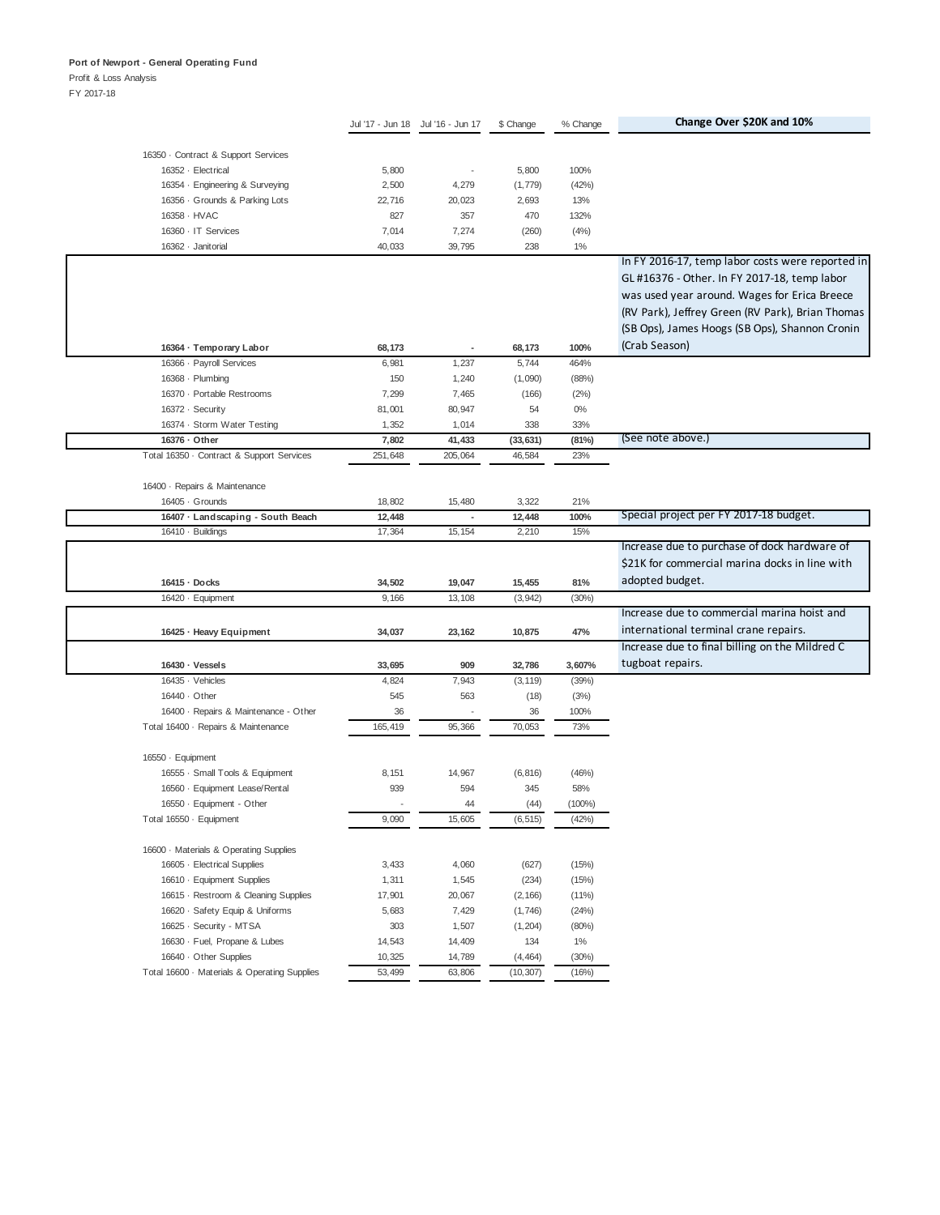## Profit & Loss Analysis

|                                              |         | Jul '17 - Jun 18 Jul '16 - Jun 17 | \$ Change    | % Change  | Change Over \$20K and 10%                        |
|----------------------------------------------|---------|-----------------------------------|--------------|-----------|--------------------------------------------------|
| 16350 · Contract & Support Services          |         |                                   |              |           |                                                  |
| 16352 - Electrical                           | 5,800   | $\overline{\phantom{a}}$          | 5,800        | 100%      |                                                  |
|                                              | 2,500   | 4,279                             |              | (42%)     |                                                  |
| 16354 · Engineering & Surveying              |         |                                   | (1, 779)     |           |                                                  |
| 16356 · Grounds & Parking Lots               | 22,716  | 20,023                            | 2,693        | 13%       |                                                  |
| 16358 · HVAC                                 | 827     | 357                               | 470          | 132%      |                                                  |
| 16360 · IT Services<br>16362 · Janitorial    | 7,014   | 7,274                             | (260)<br>238 | (4% )     |                                                  |
|                                              | 40,033  | 39,795                            |              | 1%        | In FY 2016-17, temp labor costs were reported in |
|                                              |         |                                   |              |           | GL #16376 - Other. In FY 2017-18, temp labor     |
|                                              |         |                                   |              |           |                                                  |
|                                              |         |                                   |              |           | was used year around. Wages for Erica Breece     |
|                                              |         |                                   |              |           | (RV Park), Jeffrey Green (RV Park), Brian Thomas |
|                                              |         |                                   |              |           | (SB Ops), James Hoogs (SB Ops), Shannon Cronin   |
| 16364 · Temporary Labor                      | 68,173  |                                   | 68,173       | 100%      | (Crab Season)                                    |
| 16366 - Payroll Services                     | 6,981   | 1,237                             | 5,744        | 464%      |                                                  |
| 16368 · Plumbing                             | 150     | 1,240                             | (1,090)      | (88%)     |                                                  |
| 16370 - Portable Restrooms                   | 7,299   | 7,465                             | (166)        | (2%)      |                                                  |
| 16372 · Security                             | 81,001  | 80,947                            | 54           | $0\%$     |                                                  |
| 16374 · Storm Water Testing                  | 1,352   | 1,014                             | 338          | 33%       |                                                  |
| 16376 · Other                                | 7,802   | 41,433                            | (33, 631)    | (81%)     | (See note above.)                                |
| Total 16350 - Contract & Support Services    | 251,648 | 205,064                           | 46,584       | 23%       |                                                  |
|                                              |         |                                   |              |           |                                                  |
| 16400 · Repairs & Maintenance                |         |                                   |              |           |                                                  |
| 16405 · Grounds                              | 18,802  | 15,480                            | 3,322        | 21%       |                                                  |
| 16407 · Landscaping - South Beach            | 12,448  | $\overline{\phantom{a}}$          | 12,448       | 100%      | Special project per FY 2017-18 budget.           |
| 16410 · Buildings                            | 17,364  | 15, 154                           | 2,210        | 15%       |                                                  |
|                                              |         |                                   |              |           | Increase due to purchase of dock hardware of     |
|                                              |         |                                   |              |           | \$21K for commercial marina docks in line with   |
| 16415 · Docks                                | 34,502  | 19,047                            | 15,455       | 81%       | adopted budget.                                  |
| 16420 · Equipment                            | 9,166   | 13,108                            | (3, 942)     | (30%)     |                                                  |
|                                              |         |                                   |              |           | Increase due to commercial marina hoist and      |
| 16425 · Heavy Equipment                      | 34,037  | 23,162                            | 10,875       | 47%       | international terminal crane repairs.            |
|                                              |         |                                   |              |           | Increase due to final billing on the Mildred C   |
| 16430 · Vessels                              | 33,695  | 909                               | 32,786       | 3,607%    | tugboat repairs.                                 |
| 16435 · Vehicles                             | 4,824   | 7,943                             | (3, 119)     | (39%)     |                                                  |
| 16440 · Other                                | 545     | 563                               | (18)         | (3%)      |                                                  |
| 16400 · Repairs & Maintenance - Other        | 36      |                                   | 36           | 100%      |                                                  |
| Total 16400 · Repairs & Maintenance          | 165,419 | 95,366                            | 70,053       | 73%       |                                                  |
|                                              |         |                                   |              |           |                                                  |
| 16550 · Equipment                            |         |                                   |              |           |                                                  |
| 16555 · Small Tools & Equipment              | 8,151   | 14,967                            | (6, 816)     | (46%)     |                                                  |
| 16560 · Equipment Lease/Rental               | 939     | 594                               | 345          | 58%       |                                                  |
| 16550 · Equipment - Other                    |         | 44                                | (44)         | $(100\%)$ |                                                  |
| Total 16550 · Equipment                      | 9,090   | 15,605                            | (6, 515)     | (42%)     |                                                  |
|                                              |         |                                   |              |           |                                                  |
| 16600 · Materials & Operating Supplies       |         |                                   |              |           |                                                  |
| 16605 - Electrical Supplies                  | 3,433   | 4,060                             | (627)        | (15%)     |                                                  |
| 16610 · Equipment Supplies                   | 1,311   | 1,545                             | (234)        | (15%)     |                                                  |
| 16615 - Restroom & Cleaning Supplies         | 17,901  | 20,067                            | (2, 166)     | (11%)     |                                                  |
| 16620 · Safety Equip & Uniforms              | 5,683   | 7,429                             | (1,746)      | (24%)     |                                                  |
| 16625 · Security - MTSA                      | 303     | 1,507                             | (1, 204)     | (80%)     |                                                  |
| 16630 · Fuel, Propane & Lubes                | 14,543  | 14,409                            | 134          | $1\%$     |                                                  |
| 16640 · Other Supplies                       | 10,325  | 14,789                            | (4, 464)     | (30%)     |                                                  |
| Total 16600 · Materials & Operating Supplies | 53,499  | 63,806                            | (10, 307)    | (16%)     |                                                  |
|                                              |         |                                   |              |           |                                                  |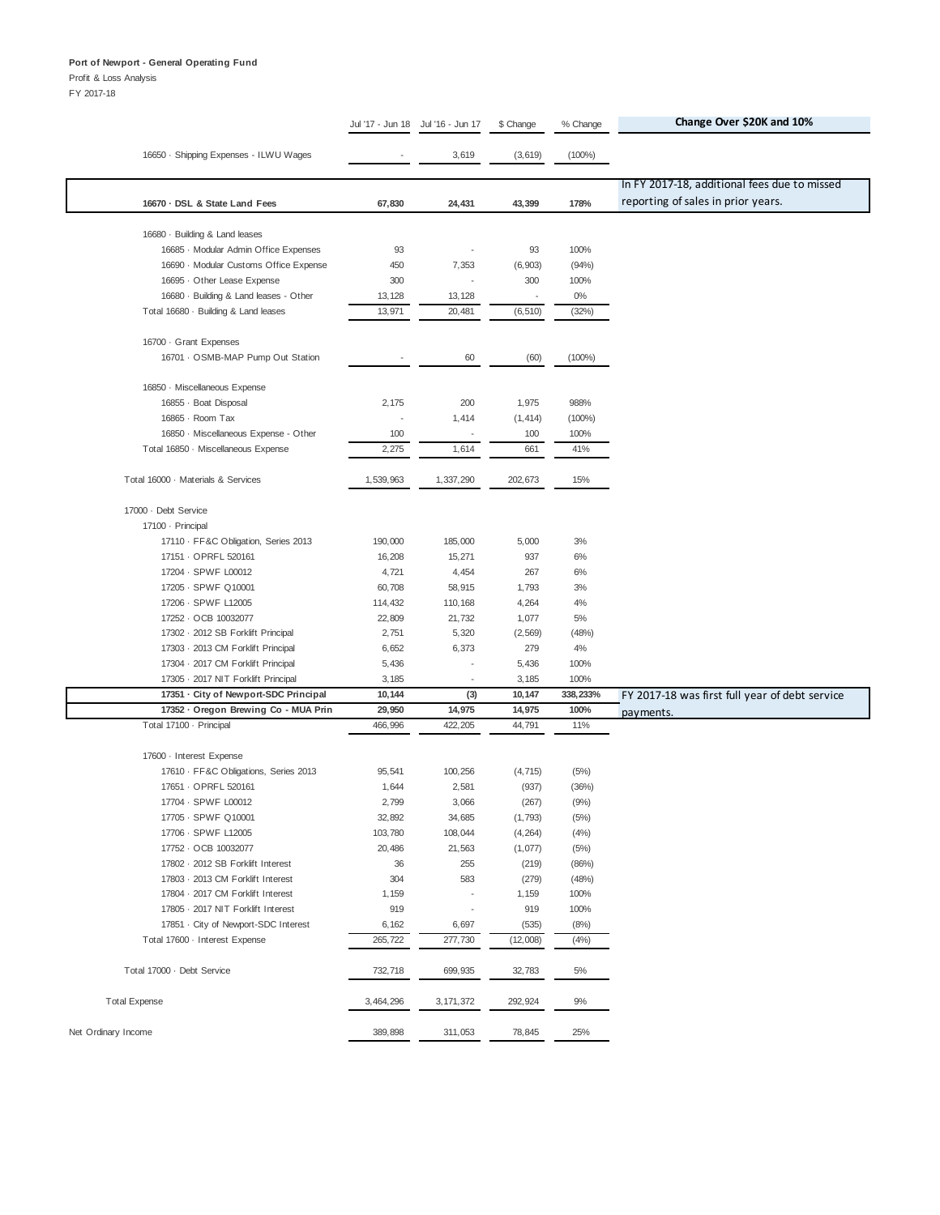Profit & Loss Analysis

|                                        | Jul '17 - Jun 18 | Jul '16 - Jun 17         | \$ Change                | % Change  | Change Over \$20K and 10%                      |
|----------------------------------------|------------------|--------------------------|--------------------------|-----------|------------------------------------------------|
|                                        |                  |                          |                          |           |                                                |
| 16650 · Shipping Expenses - ILWU Wages |                  | 3,619                    | (3,619)                  | $(100\%)$ |                                                |
|                                        |                  |                          |                          |           |                                                |
|                                        |                  |                          |                          |           | In FY 2017-18, additional fees due to missed   |
| 16670 · DSL & State Land Fees          | 67,830           | 24,431                   | 43,399                   | 178%      | reporting of sales in prior years.             |
| 16680 · Building & Land leases         |                  |                          |                          |           |                                                |
| 16685 - Modular Admin Office Expenses  | 93               | $\overline{\phantom{a}}$ | 93                       | 100%      |                                                |
| 16690 · Modular Customs Office Expense | 450              | 7,353                    | (6, 903)                 | (94%)     |                                                |
| 16695 · Other Lease Expense            | 300              | Ĭ.                       | 300                      | 100%      |                                                |
| 16680 · Building & Land leases - Other | 13,128           | 13, 128                  | $\overline{\phantom{a}}$ | $0\%$     |                                                |
| Total 16680 · Building & Land leases   | 13,971           | 20,481                   | (6, 510)                 | (32%)     |                                                |
|                                        |                  |                          |                          |           |                                                |
| 16700 · Grant Expenses                 |                  |                          |                          |           |                                                |
| 16701 · OSMB-MAP Pump Out Station      |                  | 60                       | (60)                     | $(100\%)$ |                                                |
|                                        |                  |                          |                          |           |                                                |
| 16850 · Miscellaneous Expense          |                  |                          |                          |           |                                                |
| 16855 · Boat Disposal                  | 2,175            | 200                      | 1,975                    | 988%      |                                                |
| 16865 · Room Tax                       |                  | 1,414                    | (1, 414)                 | $(100\%)$ |                                                |
| 16850 · Miscellaneous Expense - Other  | 100              | $\overline{\phantom{a}}$ | 100                      | 100%      |                                                |
| Total 16850 · Miscellaneous Expense    | 2,275            | 1,614                    | 661                      | 41%       |                                                |
| Total 16000 · Materials & Services     | 1,539,963        | 1,337,290                | 202,673                  | 15%       |                                                |
|                                        |                  |                          |                          |           |                                                |
| 17000 · Debt Service                   |                  |                          |                          |           |                                                |
| 17100 - Principal                      |                  |                          |                          |           |                                                |
| 17110 · FF&C Obligation, Series 2013   | 190,000          | 185,000                  | 5,000                    | 3%        |                                                |
| 17151 · OPRFL 520161                   | 16,208           | 15,271                   | 937                      | 6%        |                                                |
| 17204 - SPWF L00012                    | 4,721            | 4,454                    | 267                      | 6%        |                                                |
| 17205 - SPWF Q10001                    | 60,708           | 58,915                   | 1,793                    | 3%        |                                                |
| 17206 - SPWF L12005                    | 114,432          | 110,168                  | 4,264                    | 4%        |                                                |
| 17252 · OCB 10032077                   | 22,809           | 21,732                   | 1,077                    | 5%        |                                                |
| 17302 · 2012 SB Forklift Principal     | 2,751            | 5,320                    | (2, 569)                 | (48%)     |                                                |
| 17303 - 2013 CM Forklift Principal     | 6,652            | 6,373                    | 279                      | 4%        |                                                |
| 17304 · 2017 CM Forklift Principal     | 5,436            |                          | 5,436                    | 100%      |                                                |
| 17305 · 2017 NIT Forklift Principal    | 3,185            |                          | 3,185                    | 100%      |                                                |
| 17351 · City of Newport-SDC Principal  | 10,144           | (3)                      | 10,147                   | 338,233%  | FY 2017-18 was first full year of debt service |
| 17352 - Oregon Brewing Co - MUA Prin   | 29,950           | 14,975                   | 14,975                   | 100%      | payments.                                      |
| Total 17100 · Principal                | 466,996          | 422,205                  | 44,791                   | 11%       |                                                |
| 17600 - Interest Expense               |                  |                          |                          |           |                                                |
| 17610 · FF&C Obligations, Series 2013  | 95,541           | 100,256                  | (4, 715)                 | (5%)      |                                                |
| 17651 - OPRFL 520161                   | 1,644            | 2,581                    | (937)                    | (36%)     |                                                |
| 17704 - SPWF L00012                    | 2,799            | 3,066                    | (267)                    | (9%       |                                                |
| 17705 - SPWF Q10001                    | 32,892           | 34,685                   | (1,793)                  | (5%)      |                                                |
| 17706 - SPWF L12005                    | 103,780          | 108,044                  | (4, 264)                 | (4% )     |                                                |
| 17752 · OCB 10032077                   | 20,486           | 21,563                   | (1,077)                  | (5%)      |                                                |
| 17802 · 2012 SB Forklift Interest      | 36               | 255                      | (219)                    | (86%)     |                                                |
| 17803 · 2013 CM Forklift Interest      | 304              | 583                      | (279)                    | (48%)     |                                                |
| 17804 · 2017 CM Forklift Interest      | 1,159            | $\overline{\phantom{a}}$ | 1,159                    | 100%      |                                                |
| 17805 - 2017 NIT Forklift Interest     | 919              | ł,                       | 919                      | 100%      |                                                |
| 17851 - City of Newport-SDC Interest   | 6,162            | 6,697                    | (535)                    | (8%)      |                                                |
| Total 17600 - Interest Expense         | 265,722          | 277,730                  | (12,008)                 | (4% )     |                                                |
|                                        |                  |                          |                          |           |                                                |
| Total 17000 · Debt Service             | 732,718          | 699,935                  | 32,783                   | 5%        |                                                |
| <b>Total Expense</b>                   | 3,464,296        | 3, 171, 372              | 292,924                  | 9%        |                                                |
|                                        |                  |                          |                          |           |                                                |
| Net Ordinary Income                    | 389,898          | 311,053                  | 78,845                   | 25%       |                                                |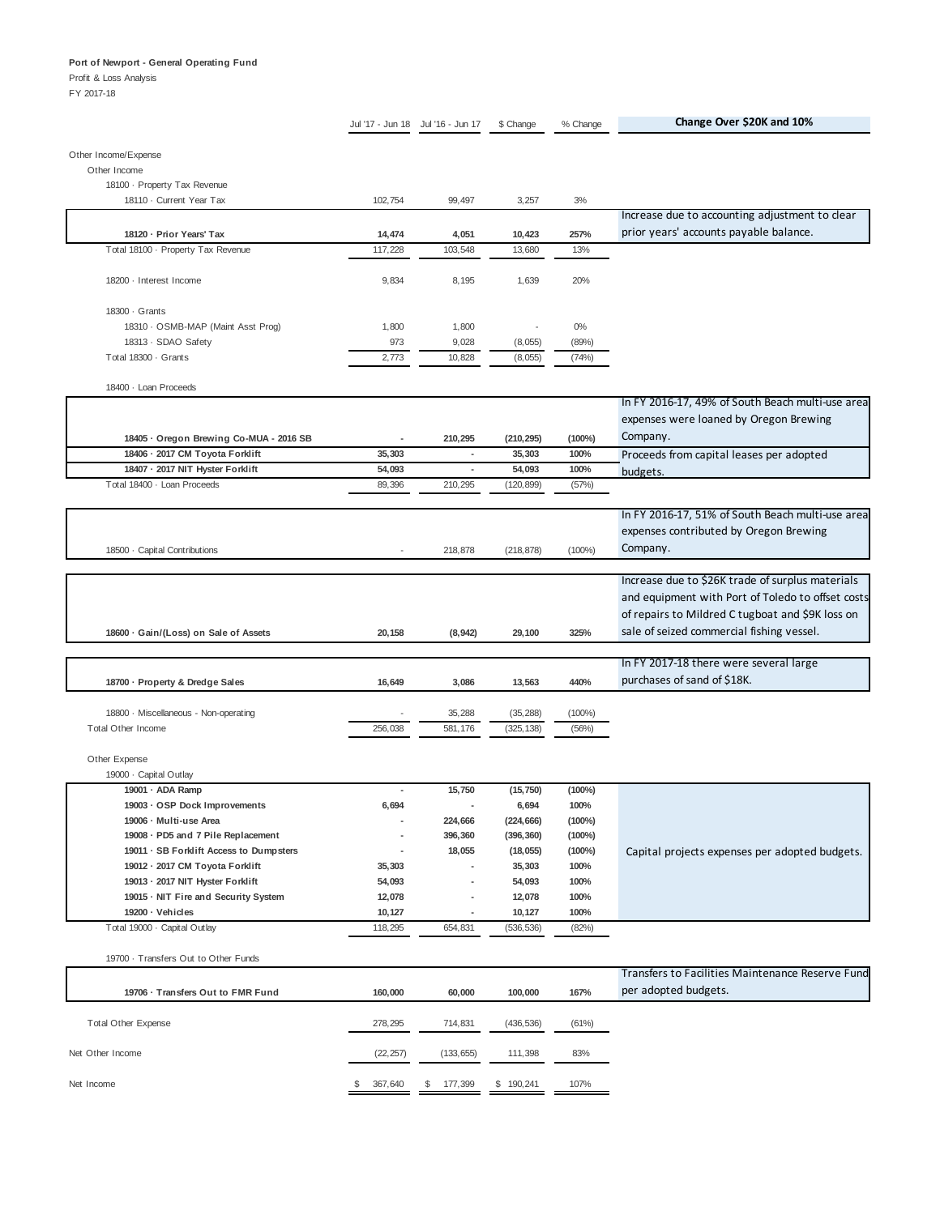Profit & Loss Analysis

|                                              |           | Jul '17 - Jun 18 Jul '16 - Jun 17 | \$ Change     | % Change  | Change Over \$20K and 10%                         |
|----------------------------------------------|-----------|-----------------------------------|---------------|-----------|---------------------------------------------------|
|                                              |           |                                   |               |           |                                                   |
| Other Income/Expense                         |           |                                   |               |           |                                                   |
| Other Income<br>18100 - Property Tax Revenue |           |                                   |               |           |                                                   |
| 18110 - Current Year Tax                     | 102,754   | 99,497                            | 3,257         | 3%        |                                                   |
|                                              |           |                                   |               |           | Increase due to accounting adjustment to clear    |
| 18120 · Prior Years' Tax                     | 14,474    | 4,051                             | 10,423        | 257%      | prior years' accounts payable balance.            |
| Total 18100 - Property Tax Revenue           | 117,228   | 103,548                           | 13,680        | 13%       |                                                   |
|                                              |           |                                   |               |           |                                                   |
| 18200 · Interest Income                      | 9,834     | 8,195                             | 1,639         | 20%       |                                                   |
|                                              |           |                                   |               |           |                                                   |
| 18300 · Grants                               |           |                                   |               |           |                                                   |
| 18310 · OSMB-MAP (Maint Asst Prog)           | 1,800     | 1,800                             |               | $0\%$     |                                                   |
| 18313 · SDAO Safety                          | 973       | 9,028                             | (8,055)       | (89%)     |                                                   |
| Total 18300 · Grants                         | 2,773     | 10,828                            | (8,055)       | (74%)     |                                                   |
|                                              |           |                                   |               |           |                                                   |
| 18400 · Loan Proceeds                        |           |                                   |               |           |                                                   |
|                                              |           |                                   |               |           | In FY 2016-17, 49% of South Beach multi-use area  |
|                                              |           |                                   |               |           | expenses were loaned by Oregon Brewing            |
| 18405 · Oregon Brewing Co-MUA - 2016 SB      | ٠         | 210,295                           | (210, 295)    | $(100\%)$ | Company.                                          |
| 18406 · 2017 CM Toyota Forklift              | 35,303    | ٠                                 | 35,303        | 100%      | Proceeds from capital leases per adopted          |
| 18407 · 2017 NIT Hyster Forklift             | 54,093    | $\sim$                            | 54,093        | 100%      | budgets.                                          |
| Total 18400 · Loan Proceeds                  | 89,396    | 210,295                           | (120, 899)    | (57%)     |                                                   |
|                                              |           |                                   |               |           | In FY 2016-17, 51% of South Beach multi-use area  |
|                                              |           |                                   |               |           | expenses contributed by Oregon Brewing            |
|                                              |           |                                   |               |           |                                                   |
| 18500 · Capital Contributions                |           | 218,878                           | (218, 878)    | $(100\%)$ | Company.                                          |
|                                              |           |                                   |               |           | Increase due to \$26K trade of surplus materials  |
|                                              |           |                                   |               |           | and equipment with Port of Toledo to offset costs |
|                                              |           |                                   |               |           |                                                   |
|                                              |           |                                   |               |           | of repairs to Mildred C tugboat and \$9K loss on  |
| 18600 · Gain/(Loss) on Sale of Assets        | 20,158    | (8, 942)                          | 29,100        | 325%      | sale of seized commercial fishing vessel.         |
|                                              |           |                                   |               |           | In FY 2017-18 there were several large            |
|                                              |           |                                   |               |           | purchases of sand of \$18K.                       |
| 18700 · Property & Dredge Sales              | 16,649    | 3,086                             | 13,563        | 440%      |                                                   |
| 18800 · Miscellaneous - Non-operating        |           | 35,288                            | (35, 288)     | $(100\%)$ |                                                   |
| <b>Total Other Income</b>                    | 256,038   | 581,176                           | (325, 138)    | (56%)     |                                                   |
|                                              |           |                                   |               |           |                                                   |
| Other Expense                                |           |                                   |               |           |                                                   |
| 19000 · Capital Outlay                       |           |                                   |               |           |                                                   |
| 19001 · ADA Ramp                             | ٠         | 15,750                            | (15, 750)     | $(100\%)$ |                                                   |
| 19003 · OSP Dock Improvements                | 6,694     | ٠                                 | 6,694         | 100%      |                                                   |
| 19006 - Multi-use Area                       |           | 224,666                           | (224, 666)    | $(100\%)$ |                                                   |
| 19008 · PD5 and 7 Pile Replacement           |           | 396,360                           | (396, 360)    | $(100\%)$ |                                                   |
| 19011 · SB Forklift Access to Dumpsters      |           | 18,055                            | (18,055)      | $(100\%)$ | Capital projects expenses per adopted budgets.    |
| 19012 · 2017 CM Toyota Forklift              | 35,303    |                                   | 35,303        | 100%      |                                                   |
| 19013 · 2017 NIT Hyster Forklift             | 54,093    | ٠                                 | 54,093        | 100%      |                                                   |
| 19015 · NIT Fire and Security System         | 12,078    |                                   | 12,078        | 100%      |                                                   |
| 19200 · Vehicles                             | 10,127    |                                   | 10,127        | 100%      |                                                   |
| Total 19000 · Capital Outlay                 | 118,295   | 654,831                           | (536, 536)    | (82%)     |                                                   |
|                                              |           |                                   |               |           |                                                   |
| 19700 - Transfers Out to Other Funds         |           |                                   |               |           |                                                   |
|                                              |           |                                   |               |           | Transfers to Facilities Maintenance Reserve Fund  |
| 19706 · Transfers Out to FMR Fund            | 160,000   | 60,000                            | 100,000       | 167%      | per adopted budgets.                              |
|                                              |           |                                   |               |           |                                                   |
| <b>Total Other Expense</b>                   | 278,295   | 714,831                           | (436, 536)    | (61%)     |                                                   |
|                                              |           |                                   |               |           |                                                   |
| Net Other Income                             | (22, 257) | (133, 655)                        | 111,398       | 83%       |                                                   |
|                                              |           |                                   |               |           |                                                   |
| Net Income                                   | 367,640   | 177,399                           | 190,241<br>S. | 107%      |                                                   |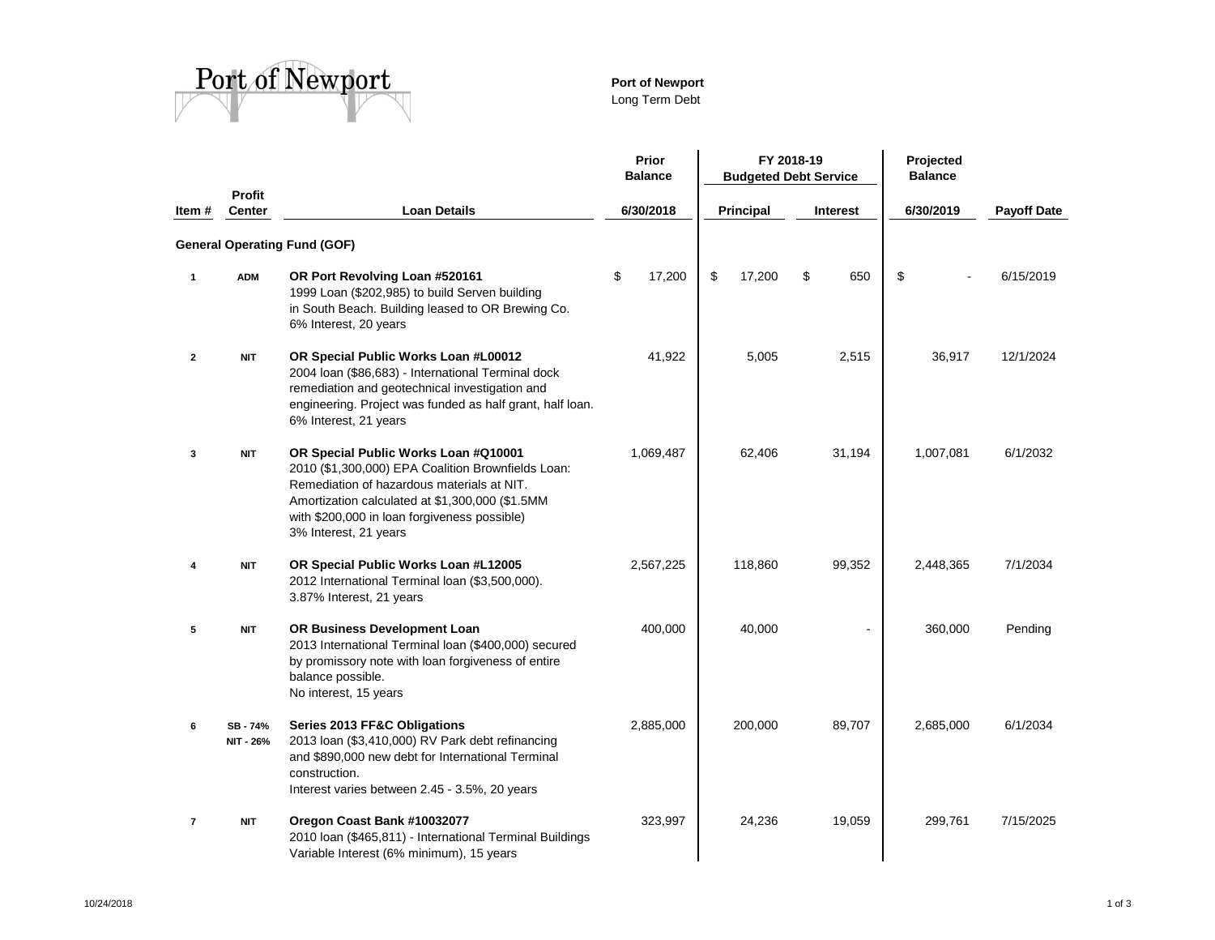

# **Port of Newport**

Long Term Debt

|                          |                                |                                                                                                                                                                                                                                                                      |           | Prior<br><b>Balance</b> | FY 2018-19<br><b>Budgeted Debt Service</b> |           |    |                 | Projected<br><b>Balance</b> |                    |
|--------------------------|--------------------------------|----------------------------------------------------------------------------------------------------------------------------------------------------------------------------------------------------------------------------------------------------------------------|-----------|-------------------------|--------------------------------------------|-----------|----|-----------------|-----------------------------|--------------------|
| Item #                   | <b>Profit</b><br><b>Center</b> | <b>Loan Details</b>                                                                                                                                                                                                                                                  | 6/30/2018 |                         |                                            | Principal |    | <b>Interest</b> | 6/30/2019                   | <b>Payoff Date</b> |
|                          |                                | <b>General Operating Fund (GOF)</b>                                                                                                                                                                                                                                  |           |                         |                                            |           |    |                 |                             |                    |
| $\mathbf{1}$             | <b>ADM</b>                     | OR Port Revolving Loan #520161<br>1999 Loan (\$202,985) to build Serven building<br>in South Beach. Building leased to OR Brewing Co.<br>6% Interest, 20 years                                                                                                       | \$        | 17,200                  | \$                                         | 17,200    | \$ | 650             | \$                          | 6/15/2019          |
| $\mathbf{2}$             | <b>NIT</b>                     | OR Special Public Works Loan #L00012<br>2004 Ioan (\$86,683) - International Terminal dock<br>remediation and geotechnical investigation and<br>engineering. Project was funded as half grant, half loan.<br>6% Interest, 21 years                                   |           | 41,922                  |                                            | 5,005     |    | 2,515           | 36,917                      | 12/1/2024          |
| 3                        | <b>NIT</b>                     | OR Special Public Works Loan #Q10001<br>2010 (\$1,300,000) EPA Coalition Brownfields Loan:<br>Remediation of hazardous materials at NIT.<br>Amortization calculated at \$1,300,000 (\$1.5MM<br>with \$200,000 in loan forgiveness possible)<br>3% Interest, 21 years | 1,069,487 |                         |                                            | 62,406    |    | 31,194          | 1,007,081                   | 6/1/2032           |
| 4                        | <b>NIT</b>                     | OR Special Public Works Loan #L12005<br>2012 International Terminal loan (\$3,500,000).<br>3.87% Interest, 21 years                                                                                                                                                  | 2,567,225 |                         |                                            | 118,860   |    | 99,352          | 2,448,365                   | 7/1/2034           |
| 5                        | <b>NIT</b>                     | OR Business Development Loan<br>2013 International Terminal Ioan (\$400,000) secured<br>by promissory note with loan forgiveness of entire<br>balance possible.<br>No interest, 15 years                                                                             | 400,000   |                         |                                            | 40,000    |    |                 | 360,000                     | Pending            |
| 6                        | SB-74%<br>NIT - 26%            | Series 2013 FF&C Obligations<br>2013 Ioan (\$3,410,000) RV Park debt refinancing<br>and \$890,000 new debt for International Terminal<br>construction.<br>Interest varies between 2.45 - 3.5%, 20 years                                                              | 2,885,000 |                         |                                            | 200,000   |    | 89,707          | 2,685,000                   | 6/1/2034           |
| $\overline{\phantom{a}}$ | <b>NIT</b>                     | Oregon Coast Bank #10032077<br>2010 Ioan (\$465,811) - International Terminal Buildings<br>Variable Interest (6% minimum), 15 years                                                                                                                                  | 323,997   |                         |                                            | 24,236    |    | 19,059          | 299,761                     | 7/15/2025          |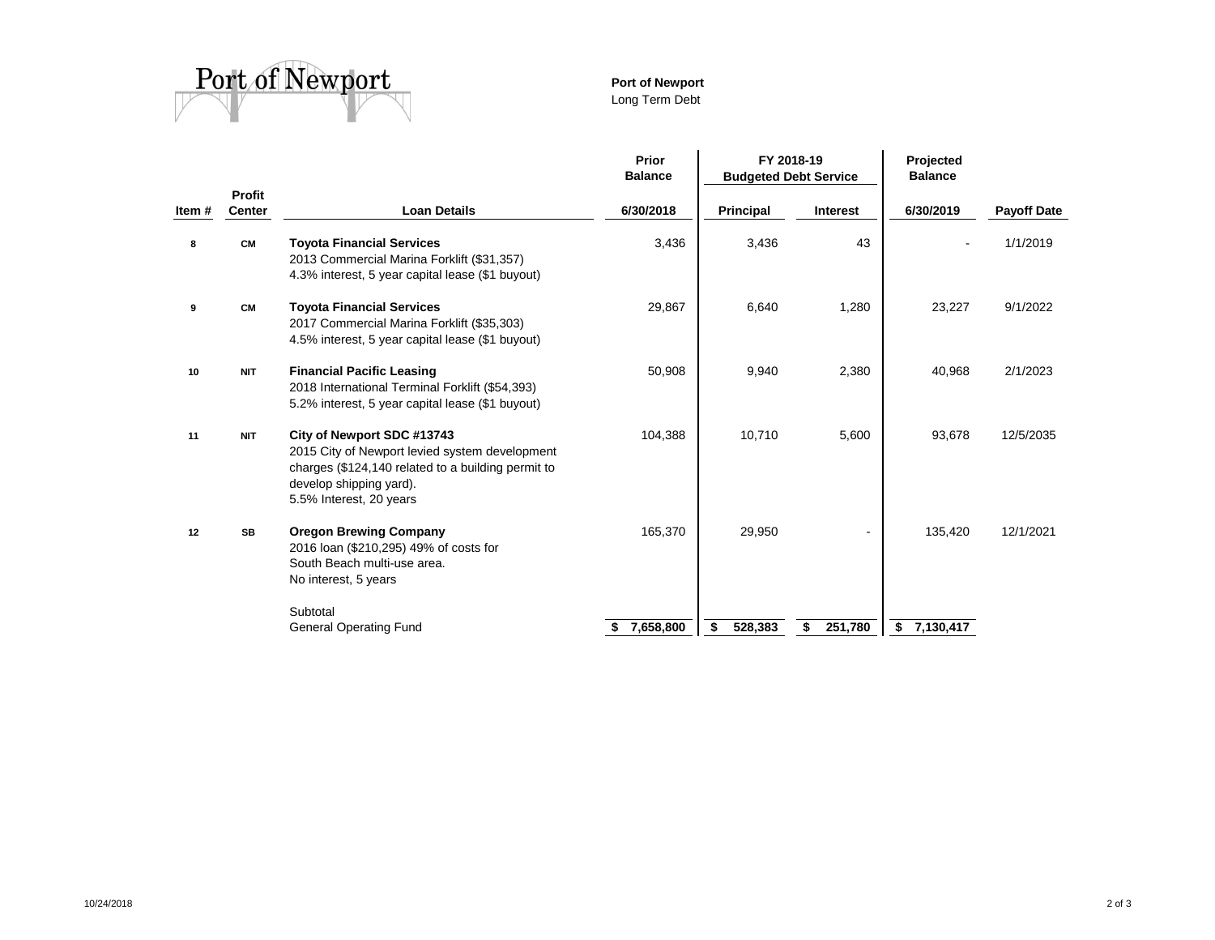

# **Port of Newport**

Long Term Debt

|       |                         |                                                                                                                                                                                          | Prior<br><b>Balance</b> | FY 2018-19<br><b>Budgeted Debt Service</b> |                 | Projected<br><b>Balance</b> |                    |  |
|-------|-------------------------|------------------------------------------------------------------------------------------------------------------------------------------------------------------------------------------|-------------------------|--------------------------------------------|-----------------|-----------------------------|--------------------|--|
| Item# | Profit<br><b>Center</b> | <b>Loan Details</b>                                                                                                                                                                      | 6/30/2018               | Principal                                  | <b>Interest</b> | 6/30/2019                   | <b>Payoff Date</b> |  |
| 8     | <b>CM</b>               | <b>Toyota Financial Services</b><br>2013 Commercial Marina Forklift (\$31,357)<br>4.3% interest, 5 year capital lease (\$1 buyout)                                                       | 3,436                   | 3,436                                      | 43              |                             | 1/1/2019           |  |
| 9     | <b>CM</b>               | <b>Toyota Financial Services</b><br>2017 Commercial Marina Forklift (\$35,303)<br>4.5% interest, 5 year capital lease (\$1 buyout)                                                       | 29,867                  | 6,640                                      | 1,280           | 23,227                      | 9/1/2022           |  |
| 10    | <b>NIT</b>              | <b>Financial Pacific Leasing</b><br>2018 International Terminal Forklift (\$54,393)<br>5.2% interest, 5 year capital lease (\$1 buyout)                                                  | 50,908                  | 9,940                                      | 2,380           | 40,968                      | 2/1/2023           |  |
| 11    | <b>NIT</b>              | City of Newport SDC #13743<br>2015 City of Newport levied system development<br>charges (\$124,140 related to a building permit to<br>develop shipping yard).<br>5.5% Interest, 20 years | 104,388                 | 10,710                                     | 5,600           | 93,678                      | 12/5/2035          |  |
| 12    | <b>SB</b>               | <b>Oregon Brewing Company</b><br>2016 loan (\$210,295) 49% of costs for<br>South Beach multi-use area.<br>No interest, 5 years                                                           | 165,370                 | 29,950                                     |                 | 135,420                     | 12/1/2021          |  |
|       |                         | Subtotal<br><b>General Operating Fund</b>                                                                                                                                                | 7,658,800               | 528,383<br>\$                              | 251,780<br>\$   | 7,130,417<br>\$             |                    |  |